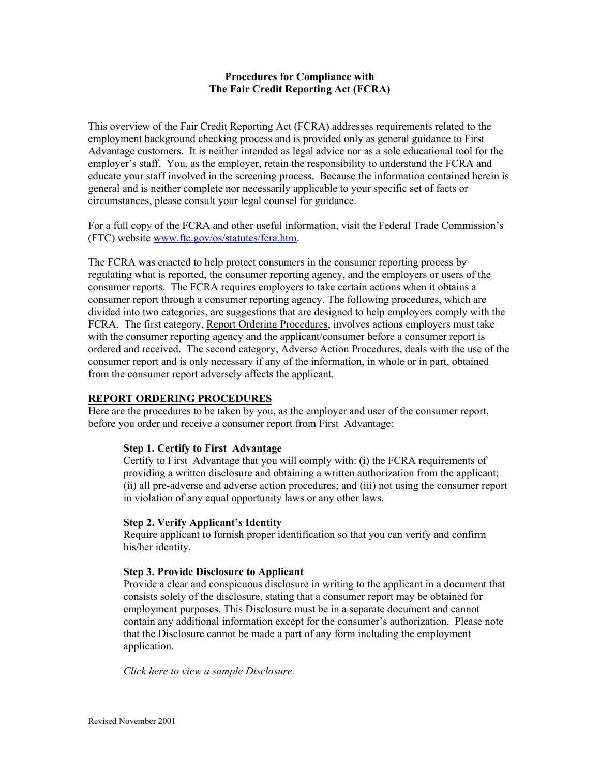#### **Procedures for Compliance with The Fair Credit Reporting Act (FCRA)**

This overview of the Fair Credit Reporting Act (FCRA) addresses requirements related to the employment background checking process and is provided only as general guidance to First Advantage customers. It is neither intended as legal advice nor as a sole educational tool for the employer's staff. You, as the employer, retain the responsibility to understand the FCRA and educate your staff involved in the screening process. Because the information contained herein is general and is neither complete nor necessarily applicable to your specific set of facts or circumstances, please consult your legal counsel for guidance.

For a full copy of the FCRA and other useful information, visit the Federal Trade Commission's (FTC) website www.ftc.gov/os/statutes/fcra.htm.

The FCRA was enacted to help protect consumers in the consumer reporting process by regulating what is reported, the consumer reporting agency, and the employers or users of the consumer reports. The FCRA requires employers to take certain actions when it obtains a consumer report through a consumer reporting agency. The following procedures, which are divided into two categories, are suggestions that are designed to help employers comply with the FCRA. The first category, Report Ordering Procedures, involves actions employers must take with the consumer reporting agency and the applicant/consumer before a consumer report is ordered and received. The second category, Adverse Action Procedures, deals with the use of the consumer report and is only necessary if any of the information, in whole or in part, obtained from the consumer report adversely affects the applicant.

## **REPORT ORDERING PROCEDURES**

Here are the procedures to be taken by you, as the employer and user of the consumer report, before you order and receive a consumer report from First Advantage:

### **Step 1. Certify to First Advantage**

Certify to First Advantage that you will comply with: (i) the FCRA requirements of providing a written disclosure and obtaining a written authorization from the applicant; (ii) all pre-adverse and adverse action procedures; and (iii) not using the consumer report in violation of any equal opportunity laws or any other laws.

### **Step 2. Verify Applicant's Identity**

Require applicant to furnish proper identification so that you can verify and confirm his/her identity.

### **Step 3. Provide Disclosure to Applicant**

Provide a clear and conspicuous disclosure in writing to the applicant in a document that consists solely of the disclosure, stating that a consumer report may be obtained for employment purposes. This Disclosure must be in a separate document and cannot contain any additional information except for the consumer's authorization. Please note that the Disclosure cannot be made a part of any form including the employment application.

*Click here to view a sample Disclosure.*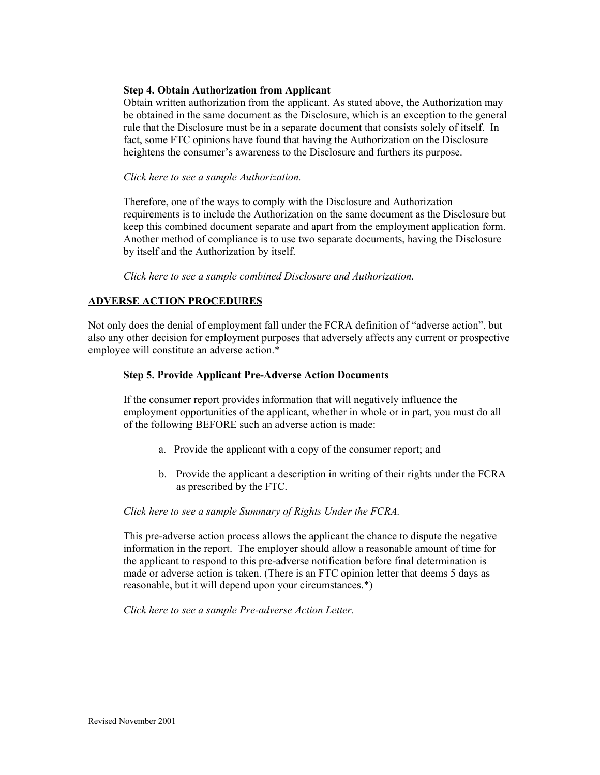#### **Step 4. Obtain Authorization from Applicant**

Obtain written authorization from the applicant. As stated above, the Authorization may be obtained in the same document as the Disclosure, which is an exception to the general rule that the Disclosure must be in a separate document that consists solely of itself. In fact, some FTC opinions have found that having the Authorization on the Disclosure heightens the consumer's awareness to the Disclosure and furthers its purpose.

#### *Click here to see a sample Authorization.*

Therefore, one of the ways to comply with the Disclosure and Authorization requirements is to include the Authorization on the same document as the Disclosure but keep this combined document separate and apart from the employment application form. Another method of compliance is to use two separate documents, having the Disclosure by itself and the Authorization by itself.

*Click here to see a sample combined Disclosure and Authorization.* 

## **ADVERSE ACTION PROCEDURES**

Not only does the denial of employment fall under the FCRA definition of "adverse action", but also any other decision for employment purposes that adversely affects any current or prospective employee will constitute an adverse action.\*

#### **Step 5. Provide Applicant Pre-Adverse Action Documents**

 If the consumer report provides information that will negatively influence the employment opportunities of the applicant, whether in whole or in part, you must do all of the following BEFORE such an adverse action is made:

- a. Provide the applicant with a copy of the consumer report; and
- b. Provide the applicant a description in writing of their rights under the FCRA as prescribed by the FTC.

#### *Click here to see a sample Summary of Rights Under the FCRA.*

This pre-adverse action process allows the applicant the chance to dispute the negative information in the report. The employer should allow a reasonable amount of time for the applicant to respond to this pre-adverse notification before final determination is made or adverse action is taken. (There is an FTC opinion letter that deems 5 days as reasonable, but it will depend upon your circumstances.\*)

*Click here to see a sample Pre-adverse Action Letter.*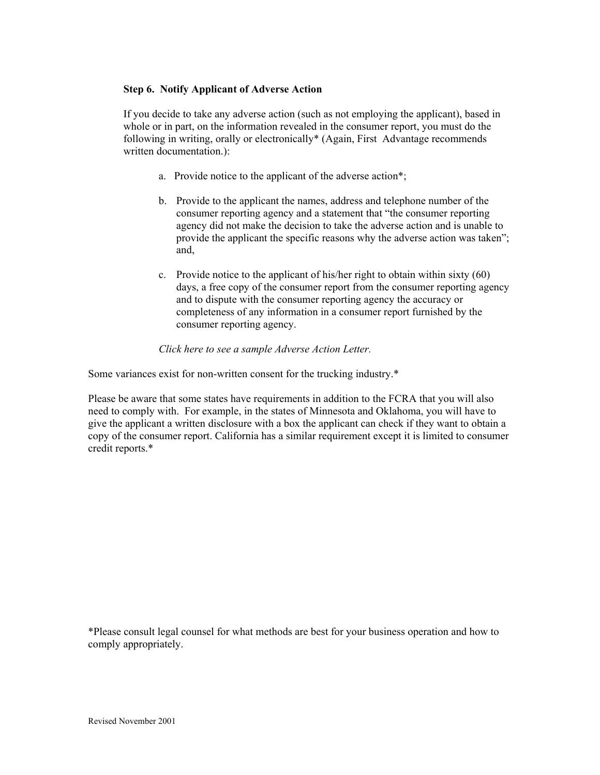### **Step 6. Notify Applicant of Adverse Action**

If you decide to take any adverse action (such as not employing the applicant), based in whole or in part, on the information revealed in the consumer report, you must do the following in writing, orally or electronically\* (Again, First Advantage recommends written documentation.):

- a. Provide notice to the applicant of the adverse action\*;
- b. Provide to the applicant the names, address and telephone number of the consumer reporting agency and a statement that "the consumer reporting agency did not make the decision to take the adverse action and is unable to provide the applicant the specific reasons why the adverse action was taken"; and,
- c. Provide notice to the applicant of his/her right to obtain within sixty (60) days, a free copy of the consumer report from the consumer reporting agency and to dispute with the consumer reporting agency the accuracy or completeness of any information in a consumer report furnished by the consumer reporting agency.

### *Click here to see a sample Adverse Action Letter.*

Some variances exist for non-written consent for the trucking industry.\*

Please be aware that some states have requirements in addition to the FCRA that you will also need to comply with. For example, in the states of Minnesota and Oklahoma, you will have to give the applicant a written disclosure with a box the applicant can check if they want to obtain a copy of the consumer report. California has a similar requirement except it is limited to consumer credit reports.\*

\*Please consult legal counsel for what methods are best for your business operation and how to comply appropriately.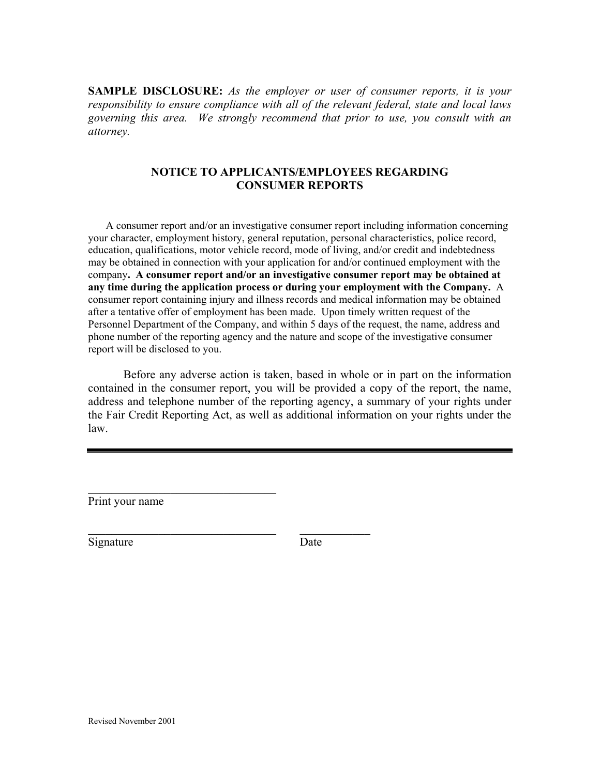**SAMPLE DISCLOSURE:** *As the employer or user of consumer reports, it is your responsibility to ensure compliance with all of the relevant federal, state and local laws governing this area. We strongly recommend that prior to use, you consult with an attorney.* 

## **NOTICE TO APPLICANTS/EMPLOYEES REGARDING CONSUMER REPORTS**

 A consumer report and/or an investigative consumer report including information concerning your character, employment history, general reputation, personal characteristics, police record, education, qualifications, motor vehicle record, mode of living, and/or credit and indebtedness may be obtained in connection with your application for and/or continued employment with the company**. A consumer report and/or an investigative consumer report may be obtained at any time during the application process or during your employment with the Company.** A consumer report containing injury and illness records and medical information may be obtained after a tentative offer of employment has been made. Upon timely written request of the Personnel Department of the Company, and within 5 days of the request, the name, address and phone number of the reporting agency and the nature and scope of the investigative consumer report will be disclosed to you.

 Before any adverse action is taken, based in whole or in part on the information contained in the consumer report, you will be provided a copy of the report, the name, address and telephone number of the reporting agency, a summary of your rights under the Fair Credit Reporting Act, as well as additional information on your rights under the law.

Print your name

 $\mathcal{L}_\text{max}$  , and the set of the set of the set of the set of the set of the set of the set of the set of the set of the set of the set of the set of the set of the set of the set of the set of the set of the set of the

\_\_\_\_\_\_\_\_\_\_\_\_\_\_\_\_\_\_\_\_\_\_\_\_\_\_\_\_\_\_\_\_ \_\_\_\_\_\_\_\_\_\_\_\_

Signature Date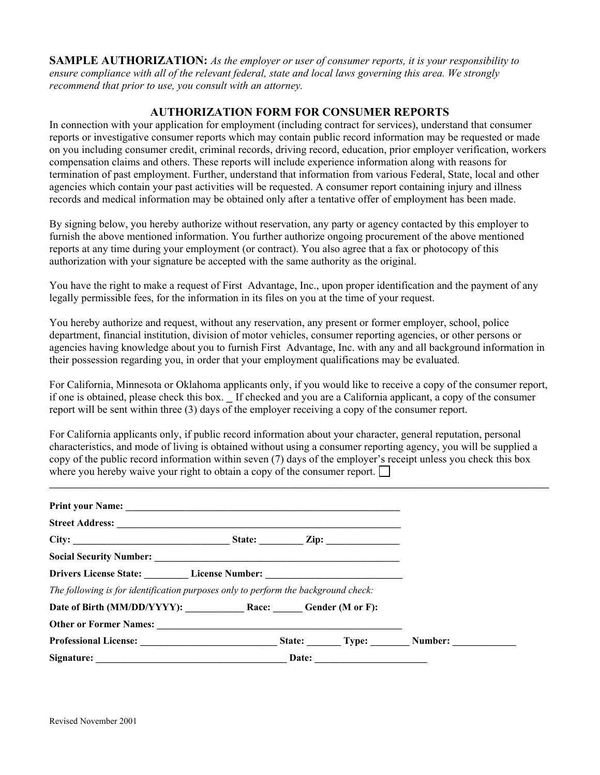**SAMPLE AUTHORIZATION:** *As the employer or user of consumer reports, it is your responsibility to ensure compliance with all of the relevant federal, state and local laws governing this area. We strongly recommend that prior to use, you consult with an attorney.* 

## **AUTHORIZATION FORM FOR CONSUMER REPORTS**

In connection with your application for employment (including contract for services), understand that consumer reports or investigative consumer reports which may contain public record information may be requested or made on you including consumer credit, criminal records, driving record, education, prior employer verification, workers compensation claims and others. These reports will include experience information along with reasons for termination of past employment. Further, understand that information from various Federal, State, local and other agencies which contain your past activities will be requested. A consumer report containing injury and illness records and medical information may be obtained only after a tentative offer of employment has been made.

By signing below, you hereby authorize without reservation, any party or agency contacted by this employer to furnish the above mentioned information. You further authorize ongoing procurement of the above mentioned reports at any time during your employment (or contract). You also agree that a fax or photocopy of this authorization with your signature be accepted with the same authority as the original.

You have the right to make a request of First Advantage, Inc., upon proper identification and the payment of any legally permissible fees, for the information in its files on you at the time of your request.

You hereby authorize and request, without any reservation, any present or former employer, school, police department, financial institution, division of motor vehicles, consumer reporting agencies, or other persons or agencies having knowledge about you to furnish First Advantage, Inc. with any and all background information in their possession regarding you, in order that your employment qualifications may be evaluated.

For California, Minnesota or Oklahoma applicants only, if you would like to receive a copy of the consumer report, if one is obtained, please check this box. \_ If checked and you are a California applicant, a copy of the consumer report will be sent within three (3) days of the employer receiving a copy of the consumer report.

For California applicants only, if public record information about your character, general reputation, personal characteristics, and mode of living is obtained without using a consumer reporting agency, you will be supplied a copy of the public record information within seven (7) days of the employer's receipt unless you check this box where you hereby waive your right to obtain a copy of the consumer report.  $\Box$ 

**\_\_\_\_\_\_\_\_\_\_\_\_\_\_\_\_\_\_\_\_\_\_\_\_\_\_\_\_\_\_\_\_\_\_\_\_\_\_\_\_\_\_\_\_\_\_\_\_\_\_\_\_\_\_\_\_\_\_\_\_\_\_\_\_\_\_\_\_\_\_\_\_\_\_\_\_\_\_\_\_\_\_\_\_\_\_\_\_\_\_\_\_\_\_\_\_\_\_\_\_\_\_** 

| Drivers License State: License Number: License Number:                             |  |  |  |  |
|------------------------------------------------------------------------------------|--|--|--|--|
| The following is for identification purposes only to perform the background check: |  |  |  |  |
| Date of Birth (MM/DD/YYYY): Race: Gender (M or F):                                 |  |  |  |  |
|                                                                                    |  |  |  |  |
|                                                                                    |  |  |  |  |
|                                                                                    |  |  |  |  |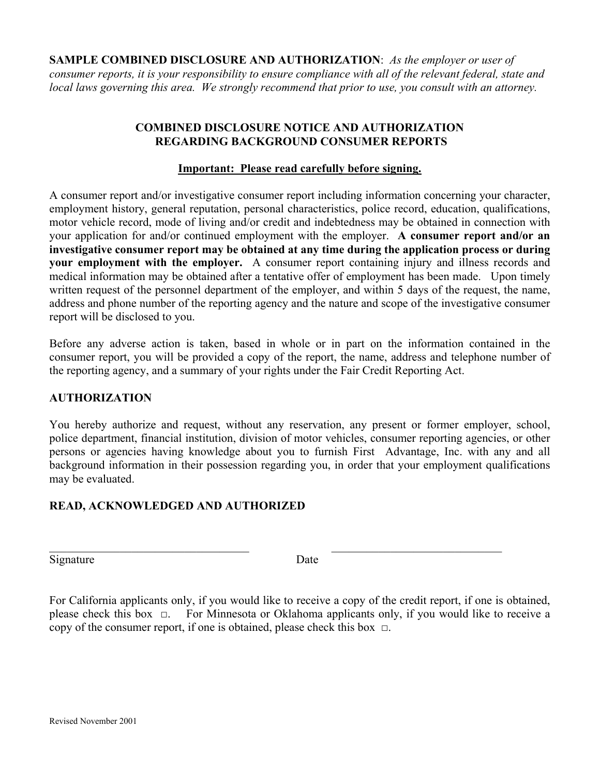**SAMPLE COMBINED DISCLOSURE AND AUTHORIZATION**: *As the employer or user of consumer reports, it is your responsibility to ensure compliance with all of the relevant federal, state and local laws governing this area. We strongly recommend that prior to use, you consult with an attorney.* 

# **COMBINED DISCLOSURE NOTICE AND AUTHORIZATION REGARDING BACKGROUND CONSUMER REPORTS**

# **Important: Please read carefully before signing.**

A consumer report and/or investigative consumer report including information concerning your character, employment history, general reputation, personal characteristics, police record, education, qualifications, motor vehicle record, mode of living and/or credit and indebtedness may be obtained in connection with your application for and/or continued employment with the employer. **A consumer report and/or an investigative consumer report may be obtained at any time during the application process or during your employment with the employer.** A consumer report containing injury and illness records and medical information may be obtained after a tentative offer of employment has been made.Upon timely written request of the personnel department of the employer, and within 5 days of the request, the name, address and phone number of the reporting agency and the nature and scope of the investigative consumer report will be disclosed to you.

Before any adverse action is taken, based in whole or in part on the information contained in the consumer report, you will be provided a copy of the report, the name, address and telephone number of the reporting agency, and a summary of your rights under the Fair Credit Reporting Act.

# **AUTHORIZATION**

You hereby authorize and request, without any reservation, any present or former employer, school, police department, financial institution, division of motor vehicles, consumer reporting agencies, or other persons or agencies having knowledge about you to furnish First Advantage, Inc. with any and all background information in their possession regarding you, in order that your employment qualifications may be evaluated.

# **READ, ACKNOWLEDGED AND AUTHORIZED**

Signature Date

 $\_$  , and the contribution of the contribution of  $\mathcal{L}_\mathcal{A}$  , and the contribution of  $\mathcal{L}_\mathcal{A}$ 

For California applicants only, if you would like to receive a copy of the credit report, if one is obtained, please check this box □. For Minnesota or Oklahoma applicants only, if you would like to receive a copy of the consumer report, if one is obtained, please check this box  $\Box$ .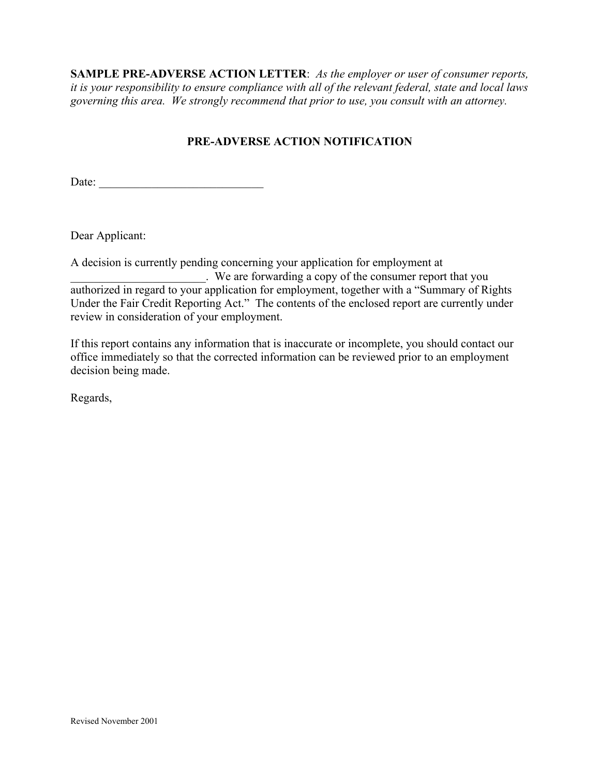**SAMPLE PRE-ADVERSE ACTION LETTER**: *As the employer or user of consumer reports, it is your responsibility to ensure compliance with all of the relevant federal, state and local laws governing this area. We strongly recommend that prior to use, you consult with an attorney.* 

# **PRE-ADVERSE ACTION NOTIFICATION**

Date: \_\_\_\_\_\_\_\_\_\_\_\_\_\_\_\_\_\_\_\_\_\_\_\_\_\_\_\_

Dear Applicant:

A decision is currently pending concerning your application for employment at

| . We are forwarding a copy of the consumer report that you                                    |
|-----------------------------------------------------------------------------------------------|
| authorized in regard to your application for employment, together with a "Summary of Rights"  |
| Under the Fair Credit Reporting Act." The contents of the enclosed report are currently under |
| review in consideration of your employment.                                                   |

If this report contains any information that is inaccurate or incomplete, you should contact our office immediately so that the corrected information can be reviewed prior to an employment decision being made.

Regards,